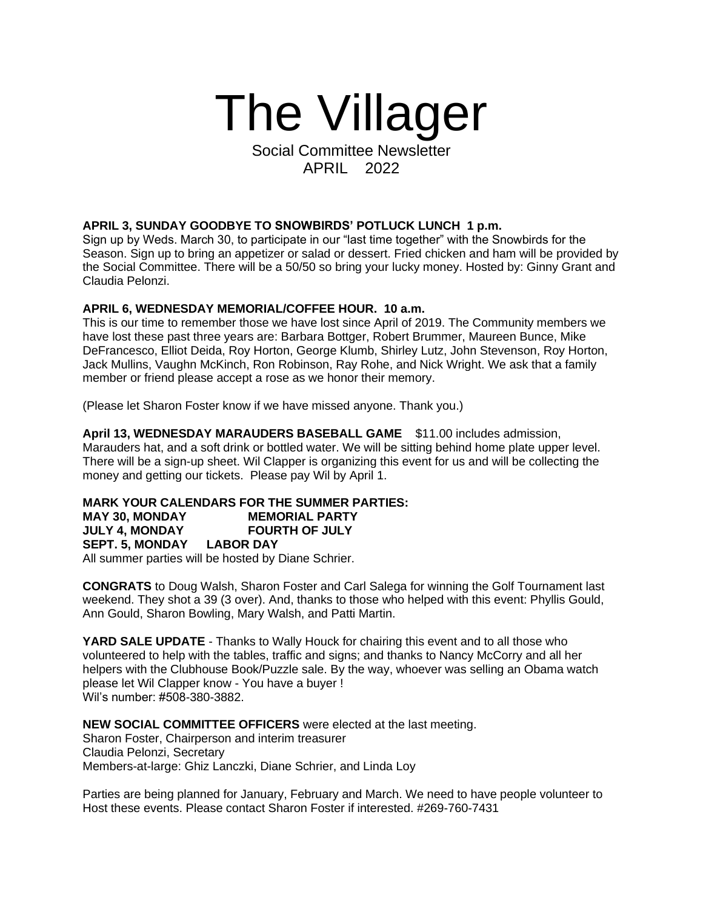## The Villager

Social Committee Newsletter APRIL 2022

## **APRIL 3, SUNDAY GOODBYE TO SNOWBIRDS' POTLUCK LUNCH 1 p.m.**

Sign up by Weds. March 30, to participate in our "last time together" with the Snowbirds for the Season. Sign up to bring an appetizer or salad or dessert. Fried chicken and ham will be provided by the Social Committee. There will be a 50/50 so bring your lucky money. Hosted by: Ginny Grant and Claudia Pelonzi.

## **APRIL 6, WEDNESDAY MEMORIAL/COFFEE HOUR. 10 a.m.**

This is our time to remember those we have lost since April of 2019. The Community members we have lost these past three years are: Barbara Bottger, Robert Brummer, Maureen Bunce, Mike DeFrancesco, Elliot Deida, Roy Horton, George Klumb, Shirley Lutz, John Stevenson, Roy Horton, Jack Mullins, Vaughn McKinch, Ron Robinson, Ray Rohe, and Nick Wright. We ask that a family member or friend please accept a rose as we honor their memory.

(Please let Sharon Foster know if we have missed anyone. Thank you.)

**April 13, WEDNESDAY MARAUDERS BASEBALL GAME** \$11.00 includes admission, Marauders hat, and a soft drink or bottled water. We will be sitting behind home plate upper level. There will be a sign-up sheet. Wil Clapper is organizing this event for us and will be collecting the money and getting our tickets. Please pay Wil by April 1.

## **MARK YOUR CALENDARS FOR THE SUMMER PARTIES: MAY 30, MONDAY MEMORIAL PARTY JULY 4, MONDAY FOURTH OF JULY SEPT. 5, MONDAY LABOR DAY**

All summer parties will be hosted by Diane Schrier.

**CONGRATS** to Doug Walsh, Sharon Foster and Carl Salega for winning the Golf Tournament last weekend. They shot a 39 (3 over). And, thanks to those who helped with this event: Phyllis Gould, Ann Gould, Sharon Bowling, Mary Walsh, and Patti Martin.

**YARD SALE UPDATE** - Thanks to Wally Houck for chairing this event and to all those who volunteered to help with the tables, traffic and signs; and thanks to Nancy McCorry and all her helpers with the Clubhouse Book/Puzzle sale. By the way, whoever was selling an Obama watch please let Wil Clapper know - You have a buyer ! Wil's number: #508-380-3882.

**NEW SOCIAL COMMITTEE OFFICERS** were elected at the last meeting.

Sharon Foster, Chairperson and interim treasurer Claudia Pelonzi, Secretary Members-at-large: Ghiz Lanczki, Diane Schrier, and Linda Loy

Parties are being planned for January, February and March. We need to have people volunteer to Host these events. Please contact Sharon Foster if interested. #269-760-7431